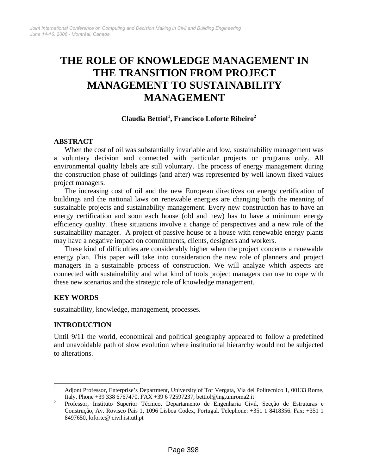# **THE ROLE OF KNOWLEDGE MANAGEMENT IN THE TRANSITION FROM PROJECT MANAGEMENT TO SUSTAINABILITY MANAGEMENT**

## **Claudia Bettio[l1](#page-0-0) , Francisco Loforte Ribeir[o2](#page-0-1)**

#### **ABSTRACT**

When the cost of oil was substantially invariable and low, sustainability management was a voluntary decision and connected with particular projects or programs only. All environmental quality labels are still voluntary. The process of energy management during the construction phase of buildings (and after) was represented by well known fixed values project managers.

The increasing cost of oil and the new European directives on energy certification of buildings and the national laws on renewable energies are changing both the meaning of sustainable projects and sustainability management. Every new construction has to have an energy certification and soon each house (old and new) has to have a minimum energy efficiency quality. These situations involve a change of perspectives and a new role of the sustainability manager. A project of passive house or a house with renewable energy plants may have a negative impact on commitments, clients, designers and workers.

These kind of difficulties are considerably higher when the project concerns a renewable energy plan. This paper will take into consideration the new role of planners and project managers in a sustainable process of construction. We will analyze which aspects are connected with sustainability and what kind of tools project managers can use to cope with these new scenarios and the strategic role of knowledge management.

### **KEY WORDS**

sustainability, knowledge, management, processes*.*

### **INTRODUCTION**

Until 9/11 the world, economical and political geography appeared to follow a predefined and unavoidable path of slow evolution where institutional hierarchy would not be subjected to alterations.

<span id="page-0-0"></span> $\frac{1}{1}$  Adjont Professor, Enterprise's Department, University of Tor Vergata, Via del Politecnico 1, 00133 Rome, Italy. Phone +39 338 6767470, FAX +39 6 72597237, bettiol@ing.uniroma2.it

<span id="page-0-1"></span>Professor, Instituto Superior Técnico, Departamento de Engenharia Civil, Secção de Estruturas e Construção, Av. Rovisco Pais 1, 1096 Lisboa Codex, Portugal. Telephone: +351 1 8418356. Fax: +351 1 8497650, loforte@ civil.ist.utl.pt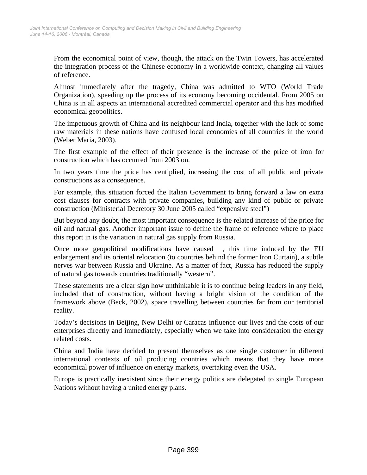From the economical point of view, though, the attack on the Twin Towers, has accelerated the integration process of the Chinese economy in a worldwide context, changing all values of reference.

Almost immediately after the tragedy, China was admitted to WTO (World Trade Organization), speeding up the process of its economy becoming occidental. From 2005 on China is in all aspects an international accredited commercial operator and this has modified economical geopolitics.

The impetuous growth of China and its neighbour land India, together with the lack of some raw materials in these nations have confused local economies of all countries in the world (Weber Maria, 2003).

The first example of the effect of their presence is the increase of the price of iron for construction which has occurred from 2003 on.

In two years time the price has centiplied, increasing the cost of all public and private constructions as a consequence.

For example, this situation forced the Italian Government to bring forward a law on extra cost clauses for contracts with private companies, building any kind of public or private construction (Ministerial Decretory 30 June 2005 called "expensive steel")

But beyond any doubt, the most important consequence is the related increase of the price for oil and natural gas. Another important issue to define the frame of reference where to place this report in is the variation in natural gas supply from Russia.

Once more geopolitical modifications have caused , this time induced by the EU enlargement and its oriental relocation (to countries behind the former Iron Curtain), a subtle nerves war between Russia and Ukraine. As a matter of fact, Russia has reduced the supply of natural gas towards countries traditionally "western".

These statements are a clear sign how unthinkable it is to continue being leaders in any field, included that of construction, without having a bright vision of the condition of the framework above (Beck, 2002), space travelling between countries far from our territorial reality.

Today's decisions in Beijing, New Delhi or Caracas influence our lives and the costs of our enterprises directly and immediately, especially when we take into consideration the energy related costs.

China and India have decided to present themselves as one single customer in different international contexts of oil producing countries which means that they have more economical power of influence on energy markets, overtaking even the USA.

Europe is practically inexistent since their energy politics are delegated to single European Nations without having a united energy plans.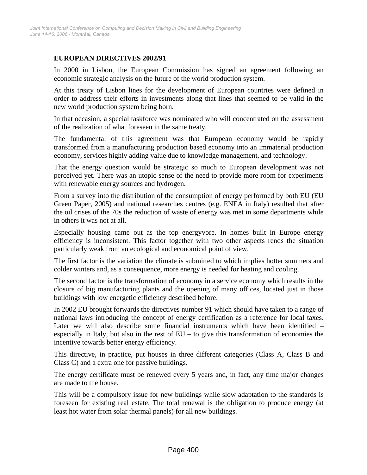### **EUROPEAN DIRECTIVES 2002/91**

In 2000 in Lisbon, the European Commission has signed an agreement following an economic strategic analysis on the future of the world production system.

At this treaty of Lisbon lines for the development of European countries were defined in order to address their efforts in investments along that lines that seemed to be valid in the new world production system being born.

In that occasion, a special taskforce was nominated who will concentrated on the assessment of the realization of what foreseen in the same treaty.

The fundamental of this agreement was that European economy would be rapidly transformed from a manufacturing production based economy into an immaterial production economy, services highly adding value due to knowledge management, and technology.

That the energy question would be strategic so much to European development was not perceived yet. There was an utopic sense of the need to provide more room for experiments with renewable energy sources and hydrogen.

From a survey into the distribution of the consumption of energy performed by both EU (EU Green Paper, 2005) and national researches centres (e.g. ENEA in Italy) resulted that after the oil crises of the 70s the reduction of waste of energy was met in some departments while in others it was not at all.

Especially housing came out as the top energyvore. In homes built in Europe energy efficiency is inconsistent. This factor together with two other aspects rends the situation particularly weak from an ecological and economical point of view.

The first factor is the variation the climate is submitted to which implies hotter summers and colder winters and, as a consequence, more energy is needed for heating and cooling.

The second factor is the transformation of economy in a service economy which results in the closure of big manufacturing plants and the opening of many offices, located just in those buildings with low energetic efficiency described before.

In 2002 EU brought forwards the directives number 91 which should have taken to a range of national laws introducing the concept of energy certification as a reference for local taxes. Later we will also describe some financial instruments which have been identified – especially in Italy, but also in the rest of EU – to give this transformation of economies the incentive towards better energy efficiency.

This directive, in practice, put houses in three different categories (Class A, Class B and Class C) and a extra one for passive buildings.

The energy certificate must be renewed every 5 years and, in fact, any time major changes are made to the house.

This will be a compulsory issue for new buildings while slow adaptation to the standards is foreseen for existing real estate. The total renewal is the obligation to produce energy (at least hot water from solar thermal panels) for all new buildings.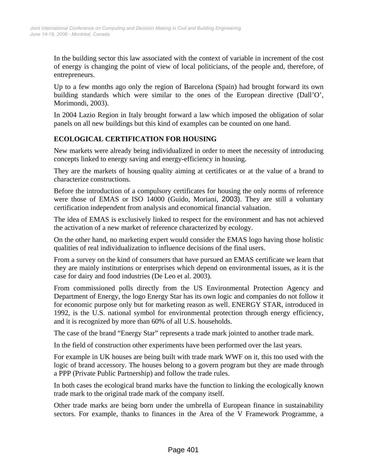In the building sector this law associated with the context of variable in increment of the cost of energy is changing the point of view of local politicians, of the people and, therefore, of entrepreneurs.

Up to a few months ago only the region of Barcelona (Spain) had brought forward its own building standards which were similar to the ones of the European directive (Dall'O', Morimondi, 2003).

In 2004 Lazio Region in Italy brought forward a law which imposed the obligation of solar panels on all new buildings but this kind of examples can be counted on one hand.

# **ECOLOGICAL CERTIFICATION FOR HOUSING**

New markets were already being individualized in order to meet the necessity of introducing concepts linked to energy saving and energy-efficiency in housing.

They are the markets of housing quality aiming at certificates or at the value of a brand to characterize constructions.

Before the introduction of a compulsory certificates for housing the only norms of reference were those of EMAS or ISO 14000 (Guido, Moriani, 2003). They are still a voluntary certification independent from analysis and economical financial valuation.

The idea of EMAS is exclusively linked to respect for the environment and has not achieved the activation of a new market of reference characterized by ecology.

On the other hand, no marketing expert would consider the EMAS logo having those holistic qualities of real individualization to influence decisions of the final users.

From a survey on the kind of consumers that have pursued an EMAS certificate we learn that they are mainly institutions or enterprises which depend on environmental issues, as it is the case for dairy and food industries (De Leo et al. 2003).

From commissioned polls directly from the US Environmental Protection Agency and Department of Energy, the logo Energy Star has its own logic and companies do not follow it for economic purpose only but for marketing reason as well. ENERGY STAR, introduced in 1992, is the U.S. national symbol for environmental protection through energy efficiency, and it is recognized by more than 60% of all U.S. households.

The case of the brand "Energy Star" represents a trade mark jointed to another trade mark.

In the field of construction other experiments have been performed over the last years.

For example in UK houses are being built with trade mark WWF on it, this too used with the logic of brand accessory. The houses belong to a govern program but they are made through a PPP (Private Public Partnership) and follow the trade rules.

In both cases the ecological brand marks have the function to linking the ecologically known trade mark to the original trade mark of the company itself.

Other trade marks are being born under the umbrella of European finance in sustainability sectors. For example, thanks to finances in the Area of the V Framework Programme, a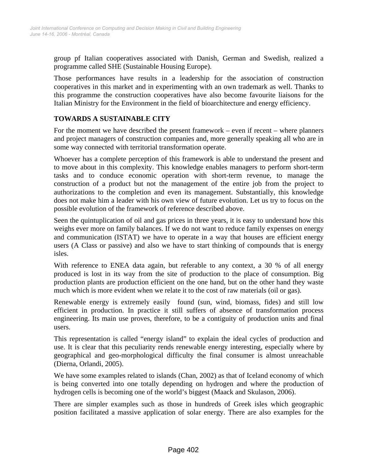group pf Italian cooperatives associated with Danish, German and Swedish, realized a programme called SHE (Sustainable Housing Europe).

Those performances have results in a leadership for the association of construction cooperatives in this market and in experimenting with an own trademark as well. Thanks to this programme the construction cooperatives have also become favourite liaisons for the Italian Ministry for the Environment in the field of bioarchitecture and energy efficiency.

### **TOWARDS A SUSTAINABLE CITY**

For the moment we have described the present framework – even if recent – where planners and project managers of construction companies and, more generally speaking all who are in some way connected with territorial transformation operate.

Whoever has a complete perception of this framework is able to understand the present and to move about in this complexity. This knowledge enables managers to perform short-term tasks and to conduce economic operation with short-term revenue, to manage the construction of a product but not the management of the entire job from the project to authorizations to the completion and even its management. Substantially, this knowledge does not make him a leader with his own view of future evolution. Let us try to focus on the possible evolution of the framework of reference described above.

Seen the quintuplication of oil and gas prices in three years, it is easy to understand how this weighs ever more on family balances. If we do not want to reduce family expenses on energy and communication (ISTAT) we have to operate in a way that houses are efficient energy users (A Class or passive) and also we have to start thinking of compounds that is energy isles.

With reference to ENEA data again, but referable to any context, a 30 % of all energy produced is lost in its way from the site of production to the place of consumption. Big production plants are production efficient on the one hand, but on the other hand they waste much which is more evident when we relate it to the cost of raw materials (oil or gas).

Renewable energy is extremely easily found (sun, wind, biomass, fides) and still low efficient in production. In practice it still suffers of absence of transformation process engineering. Its main use proves, therefore, to be a contiguity of production units and final users.

This representation is called "energy island" to explain the ideal cycles of production and use. It is clear that this peculiarity rends renewable energy interesting, especially where by geographical and geo-morphological difficulty the final consumer is almost unreachable (Dierna, Orlandi, 2005).

We have some examples related to islands (Chan, 2002) as that of Iceland economy of which is being converted into one totally depending on hydrogen and where the production of hydrogen cells is becoming one of the world's biggest (Maack and Skulason, 2006).

There are simpler examples such as those in hundreds of Greek isles which geographic position facilitated a massive application of solar energy. There are also examples for the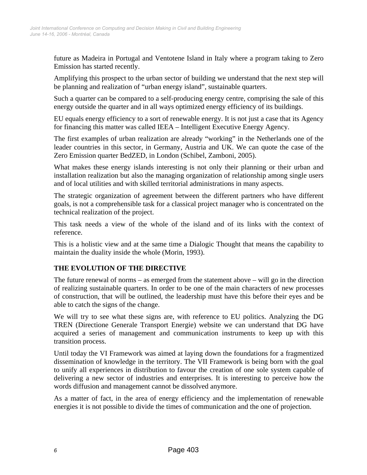future as Madeira in Portugal and Ventotene Island in Italy where a program taking to Zero Emission has started recently.

Amplifying this prospect to the urban sector of building we understand that the next step will be planning and realization of "urban energy island", sustainable quarters.

Such a quarter can be compared to a self-producing energy centre, comprising the sale of this energy outside the quarter and in all ways optimized energy efficiency of its buildings.

EU equals energy efficiency to a sort of renewable energy. It is not just a case that its Agency for financing this matter was called IEEA – Intelligent Executive Energy Agency.

The first examples of urban realization are already "working" in the Netherlands one of the leader countries in this sector, in Germany, Austria and UK. We can quote the case of the Zero Emission quarter BedZED, in London (Schibel, Zamboni, 2005).

What makes these energy islands interesting is not only their planning or their urban and installation realization but also the managing organization of relationship among single users and of local utilities and with skilled territorial administrations in many aspects.

The strategic organization of agreement between the different partners who have different goals, is not a comprehensible task for a classical project manager who is concentrated on the technical realization of the project.

This task needs a view of the whole of the island and of its links with the context of reference.

This is a holistic view and at the same time a Dialogic Thought that means the capability to maintain the duality inside the whole (Morin, 1993).

### **THE EVOLUTION OF THE DIRECTIVE**

The future renewal of norms – as emerged from the statement above – will go in the direction of realizing sustainable quarters. In order to be one of the main characters of new processes of construction, that will be outlined, the leadership must have this before their eyes and be able to catch the signs of the change.

We will try to see what these signs are, with reference to EU politics. Analyzing the DG TREN (Directione Generale Transport Energie) website we can understand that DG have acquired a series of management and communication instruments to keep up with this transition process.

Until today the VI Framework was aimed at laying down the foundations for a fragmentized dissemination of knowledge in the territory. The VII Framework is being born with the goal to unify all experiences in distribution to favour the creation of one sole system capable of delivering a new sector of industries and enterprises. It is interesting to perceive how the words diffusion and management cannot be dissolved anymore.

As a matter of fact, in the area of energy efficiency and the implementation of renewable energies it is not possible to divide the times of communication and the one of projection.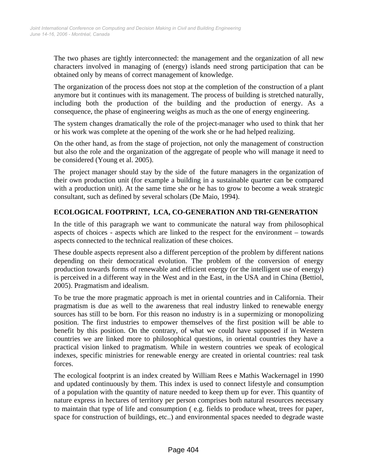The two phases are tightly interconnected: the management and the organization of all new characters involved in managing of (energy) islands need strong participation that can be obtained only by means of correct management of knowledge.

The organization of the process does not stop at the completion of the construction of a plant anymore but it continues with its management. The process of building is stretched naturally, including both the production of the building and the production of energy. As a consequence, the phase of engineering weighs as much as the one of energy engineering.

The system changes dramatically the role of the project-manager who used to think that her or his work was complete at the opening of the work she or he had helped realizing.

On the other hand, as from the stage of projection, not only the management of construction but also the role and the organization of the aggregate of people who will manage it need to be considered (Young et al. 2005).

The project manager should stay by the side of the future managers in the organization of their own production unit (for example a building in a sustainable quarter can be compared with a production unit). At the same time she or he has to grow to become a weak strategic consultant, such as defined by several scholars (De Maio, 1994).

## **ECOLOGICAL FOOTPRINT, LCA, CO-GENERATION AND TRI-GENERATION**

In the title of this paragraph we want to communicate the natural way from philosophical aspects of choices - aspects which are linked to the respect for the environment – towards aspects connected to the technical realization of these choices.

These double aspects represent also a different perception of the problem by different nations depending on their democratical evolution. The problem of the conversion of energy production towards forms of renewable and efficient energy (or the intelligent use of energy) is perceived in a different way in the West and in the East, in the USA and in China (Bettiol, 2005). Pragmatism and idealism.

To be true the more pragmatic approach is met in oriental countries and in California. Their pragmatism is due as well to the awareness that real industry linked to renewable energy sources has still to be born. For this reason no industry is in a supermizing or monopolizing position. The first industries to empower themselves of the first position will be able to benefit by this position. On the contrary, of what we could have supposed if in Western countries we are linked more to philosophical questions, in oriental countries they have a practical vision linked to pragmatism. While in western countries we speak of ecological indexes, specific ministries for renewable energy are created in oriental countries: real task forces.

The ecological footprint is an index created by William Rees e Mathis Wackernagel in 1990 and updated continuously by them. This index is used to connect lifestyle and consumption of a population with the quantity of nature needed to keep them up for ever. This quantity of nature express in hectares of territory per person comprises both natural resources necessary to maintain that type of life and consumption ( e.g. fields to produce wheat, trees for paper, space for construction of buildings, etc..) and environmental spaces needed to degrade waste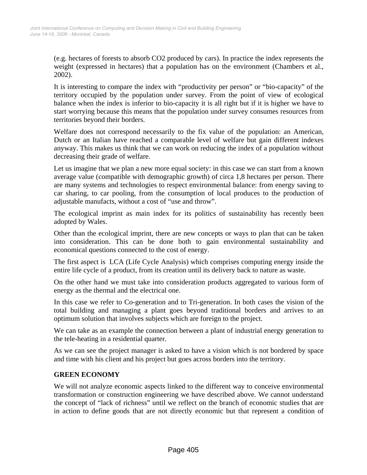(e.g. hectares of forests to absorb CO2 produced by cars). In practice the index represents the weight (expressed in hectares) that a population has on the environment (Chambers et al., 2002).

It is interesting to compare the index with "productivity per person" or "bio-capacity" of the territory occupied by the population under survey. From the point of view of ecological balance when the index is inferior to bio-capacity it is all right but if it is higher we have to start worrying because this means that the population under survey consumes resources from territories beyond their borders.

Welfare does not correspond necessarily to the fix value of the population: an American, Dutch or an Italian have reached a comparable level of welfare but gain different indexes anyway. This makes us think that we can work on reducing the index of a population without decreasing their grade of welfare.

Let us imagine that we plan a new more equal society: in this case we can start from a known average value (compatible with demographic growth) of circa 1,8 hectares per person. There are many systems and technologies to respect environmental balance: from energy saving to car sharing, to car pooling, from the consumption of local produces to the production of adjustable manufacts, without a cost of "use and throw".

The ecological imprint as main index for its politics of sustainability has recently been adopted by Wales.

Other than the ecological imprint, there are new concepts or ways to plan that can be taken into consideration. This can be done both to gain environmental sustainability and economical questions connected to the cost of energy.

The first aspect is LCA (Life Cycle Analysis) which comprises computing energy inside the entire life cycle of a product, from its creation until its delivery back to nature as waste.

On the other hand we must take into consideration products aggregated to various form of energy as the thermal and the electrical one.

In this case we refer to Co-generation and to Tri-generation. In both cases the vision of the total building and managing a plant goes beyond traditional borders and arrives to an optimum solution that involves subjects which are foreign to the project.

We can take as an example the connection between a plant of industrial energy generation to the tele-heating in a residential quarter.

As we can see the project manager is asked to have a vision which is not bordered by space and time with his client and his project but goes across borders into the territory.

### **GREEN ECONOMY**

We will not analyze economic aspects linked to the different way to conceive environmental transformation or construction engineering we have described above. We cannot understand the concept of "lack of richness" until we reflect on the branch of economic studies that are in action to define goods that are not directly economic but that represent a condition of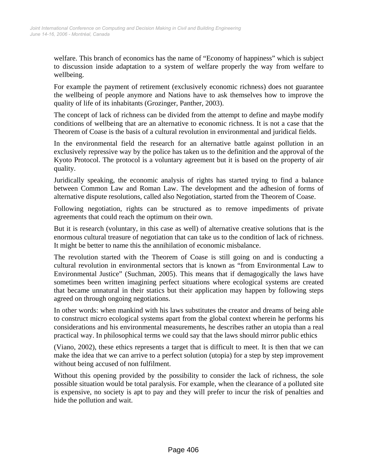welfare. This branch of economics has the name of "Economy of happiness" which is subject to discussion inside adaptation to a system of welfare properly the way from welfare to wellbeing.

For example the payment of retirement (exclusively economic richness) does not guarantee the wellbeing of people anymore and Nations have to ask themselves how to improve the quality of life of its inhabitants (Grozinger, Panther, 2003).

The concept of lack of richness can be divided from the attempt to define and maybe modify conditions of wellbeing that are an alternative to economic richness. It is not a case that the Theorem of Coase is the basis of a cultural revolution in environmental and juridical fields.

In the environmental field the research for an alternative battle against pollution in an exclusively repressive way by the police has taken us to the definition and the approval of the Kyoto Protocol. The protocol is a voluntary agreement but it is based on the property of air quality.

Juridically speaking, the economic analysis of rights has started trying to find a balance between Common Law and Roman Law. The development and the adhesion of forms of alternative dispute resolutions, called also Negotiation, started from the Theorem of Coase.

Following negotiation, rights can be structured as to remove impediments of private agreements that could reach the optimum on their own.

But it is research (voluntary, in this case as well) of alternative creative solutions that is the enormous cultural treasure of negotiation that can take us to the condition of lack of richness. It might be better to name this the annihilation of economic misbalance.

The revolution started with the Theorem of Coase is still going on and is conducting a cultural revolution in environmental sectors that is known as "from Environmental Law to Environmental Justice" (Suchman, 2005). This means that if demagogically the laws have sometimes been written imagining perfect situations where ecological systems are created that became unnatural in their statics but their application may happen by following steps agreed on through ongoing negotiations.

In other words: when mankind with his laws substitutes the creator and dreams of being able to construct micro ecological systems apart from the global context wherein he performs his considerations and his environmental measurements, he describes rather an utopia than a real practical way. In philosophical terms we could say that the laws should mirror public ethics

(Viano, 2002), these ethics represents a target that is difficult to meet. It is then that we can make the idea that we can arrive to a perfect solution (utopia) for a step by step improvement without being accused of non fulfilment.

Without this opening provided by the possibility to consider the lack of richness, the sole possible situation would be total paralysis. For example, when the clearance of a polluted site is expensive, no society is apt to pay and they will prefer to incur the risk of penalties and hide the pollution and wait.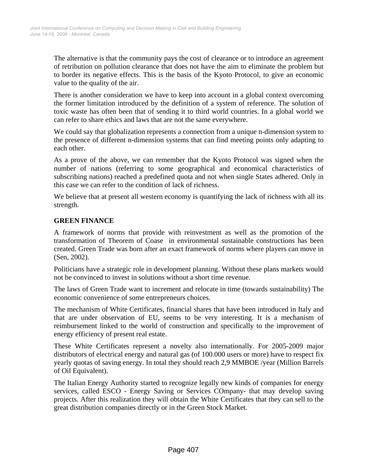The alternative is that the community pays the cost of clearance or to introduce an agreement of retribution on pollution clearance that does not have the aim to eliminate the problem but to border its negative effects. This is the basis of the Kyoto Protocol, to give an economic value to the quality of the air.

There is another consideration we have to keep into account in a global context overcoming the former limitation introduced by the definition of a system of reference. The solution of toxic waste has often been that of sending it to third world countries. In a global world we can refer to share ethics and laws that are not the same everywhere.

We could say that globalization represents a connection from a unique n-dimension system to the presence of different n-dimension systems that can find meeting points only adapting to each other.

As a prove of the above, we can remember that the Kyoto Protocol was signed when the number of nations (referring to some geographical and economical characteristics of subscribing nations) reached a predefined quota and not when single States adhered. Only in this case we can refer to the condition of lack of richness.

We believe that at present all western economy is quantifying the lack of richness with all its strength.

### **GREEN FINANCE**

A framework of norms that provide with reinvestment as well as the promotion of the transformation of Theorem of Coase in environmental sustainable constructions has been created. Green Trade was born after an exact framework of norms where players can move in (Sen, 2002).

Politicians have a strategic role in development planning. Without these plans markets would not be convinced to invest in solutions without a short time revenue.

The laws of Green Trade want to increment and relocate in time (towards sustainability) The economic convenience of some entrepreneurs choices.

The mechanism of White Certificates, financial shares that have been introduced in Italy and that are under observation of EU, seems to be very interesting. It is a mechanism of reimbursement linked to the world of construction and specifically to the improvement of energy efficiency of present real estate.

These White Certificates represent a novelty also internationally. For 2005-2009 major distributors of electrical energy and natural gas (of 100.000 users or more) have to respect fix yearly quotas of saving energy. In total they should reach 2,9 MMBOE /year (Million Barrels of Oil Equivalent).

The Italian Energy Authority started to recognize legally new kinds of companies for energy services, called ESCO - Energy Saving or Services COmpany- that may develop saving projects. After this realization they will obtain the White Certificates that they can sell to the great distribution companies directly or in the Green Stock Market.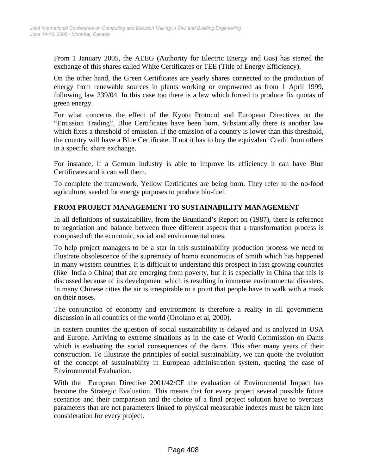From 1 January 2005, the AEEG (Authority for Electric Energy and Gas) has started the exchange of this shares called White Certificates or TEE (Title of Energy Efficiency).

On the other hand, the Green Certificates are yearly shares connected to the production of energy from renewable sources in plants working or empowered as from 1 April 1999, following law 239/04. In this case too there is a law which forced to produce fix quotas of green energy.

For what concerns the effect of the Kyoto Protocol and European Directives on the "Emission Trading", Blue Certificates have been born. Substantially there is another law which fixes a threshold of emission. If the emission of a country is lower than this threshold, the country will have a Blue Certificate. If not it has to buy the equivalent Credit from others in a specific share exchange.

For instance, if a German industry is able to improve its efficiency it can have Blue Certificates and it can sell them.

To complete the framework, Yellow Certificates are being born. They refer to the no-food agriculture, seeded for energy purposes to produce bio-fuel.

## **FROM PROJECT MANAGEMENT TO SUSTAINABILITY MANAGEMENT**

In all definitions of sustainability, from the Bruntland's Report on (1987), there is reference to negotiation and balance between three different aspects that a transformation process is composed of: the economic, social and environmental ones.

To help project managers to be a star in this sustainability production process we need to illustrate obsolescence of the supremacy of homo economicus of Smith which has happened in many western countries. It is difficult to understand this prospect in fast growing countries (like India o China) that are emerging from poverty, but it is especially in China that this is discussed because of its development which is resulting in immense environmental disasters. In many Chinese cities the air is irrespirable to a point that people have to walk with a mask on their noses.

The conjunction of economy and environment is therefore a reality in all governments discussion in all countries of the world (Ortolano et al, 2000).

In eastern counties the question of social sustainability is delayed and is analyzed in USA and Europe. Arriving to extreme situations as in the case of World Commission on Dams which is evaluating the social consequences of the dams. This after many years of their construction. To illustrate the principles of social sustainability, we can quote the evolution of the concept of sustainability in European administration system, quoting the case of Environmental Evaluation.

With the European Directive 2001/42/CE the evaluation of Environmental Impact has become the Strategic Evaluation. This means that for every project several possible future scenarios and their comparison and the choice of a final project solution have to overpass parameters that are not parameters linked to physical measurable indexes must be taken into consideration for every project.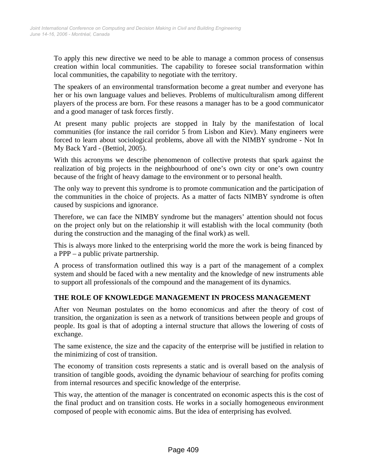To apply this new directive we need to be able to manage a common process of consensus creation within local communities. The capability to foresee social transformation within local communities, the capability to negotiate with the territory.

The speakers of an environmental transformation become a great number and everyone has her or his own language values and believes. Problems of multiculturalism among different players of the process are born. For these reasons a manager has to be a good communicator and a good manager of task forces firstly.

At present many public projects are stopped in Italy by the manifestation of local communities (for instance the rail corridor 5 from Lisbon and Kiev). Many engineers were forced to learn about sociological problems, above all with the NIMBY syndrome - Not In My Back Yard - (Bettiol, 2005).

With this acronyms we describe phenomenon of collective protests that spark against the realization of big projects in the neighbourhood of one's own city or one's own country because of the fright of heavy damage to the environment or to personal health.

The only way to prevent this syndrome is to promote communication and the participation of the communities in the choice of projects. As a matter of facts NIMBY syndrome is often caused by suspicions and ignorance.

Therefore, we can face the NIMBY syndrome but the managers' attention should not focus on the project only but on the relationship it will establish with the local community (both during the construction and the managing of the final work) as well.

This is always more linked to the enterprising world the more the work is being financed by a PPP – a public private partnership.

A process of transformation outlined this way is a part of the management of a complex system and should be faced with a new mentality and the knowledge of new instruments able to support all professionals of the compound and the management of its dynamics.

### **THE ROLE OF KNOWLEDGE MANAGEMENT IN PROCESS MANAGEMENT**

After von Neuman postulates on the homo economicus and after the theory of cost of transition, the organization is seen as a network of transitions between people and groups of people. Its goal is that of adopting a internal structure that allows the lowering of costs of exchange.

The same existence, the size and the capacity of the enterprise will be justified in relation to the minimizing of cost of transition.

The economy of transition costs represents a static and is overall based on the analysis of transition of tangible goods, avoiding the dynamic behaviour of searching for profits coming from internal resources and specific knowledge of the enterprise.

This way, the attention of the manager is concentrated on economic aspects this is the cost of the final product and on transition costs. He works in a socially homogeneous environment composed of people with economic aims. But the idea of enterprising has evolved.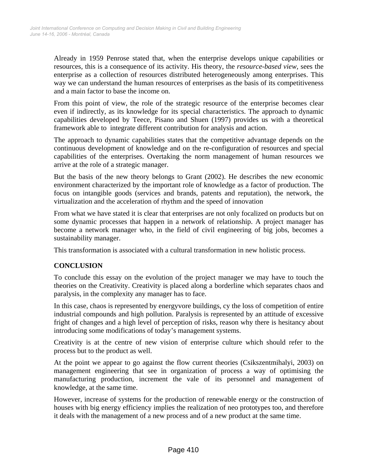Already in 1959 Penrose stated that, when the enterprise develops unique capabilities or resources, this is a consequence of its activity. His theory, the *resource-based view,* sees the enterprise as a collection of resources distributed heterogeneously among enterprises. This way we can understand the human resources of enterprises as the basis of its competitiveness and a main factor to base the income on.

From this point of view, the role of the strategic resource of the enterprise becomes clear even if indirectly, as its knowledge for its special characteristics. The approach to dynamic capabilities developed by Teece, Pisano and Shuen (1997) provides us with a theoretical framework able to integrate different contribution for analysis and action.

The approach to dynamic capabilities states that the competitive advantage depends on the continuous development of knowledge and on the re-configuration of resources and special capabilities of the enterprises. Overtaking the norm management of human resources we arrive at the role of a strategic manager.

But the basis of the new theory belongs to Grant (2002). He describes the new economic environment characterized by the important role of knowledge as a factor of production. The focus on intangible goods (services and brands, patents and reputation), the network, the virtualization and the acceleration of rhythm and the speed of innovation

From what we have stated it is clear that enterprises are not only focalized on products but on some dynamic processes that happen in a network of relationship. A project manager has become a network manager who, in the field of civil engineering of big jobs, becomes a sustainability manager.

This transformation is associated with a cultural transformation in new holistic process.

## **CONCLUSION**

To conclude this essay on the evolution of the project manager we may have to touch the theories on the Creativity. Creativity is placed along a borderline which separates chaos and paralysis, in the complexity any manager has to face.

In this case, chaos is represented by energyvore buildings, cy the loss of competition of entire industrial compounds and high pollution. Paralysis is represented by an attitude of excessive fright of changes and a high level of perception of risks, reason why there is hesitancy about introducing some modifications of today's management systems.

Creativity is at the centre of new vision of enterprise culture which should refer to the process but to the product as well.

At the point we appear to go against the flow current theories (Csikszentmihalyi, 2003) on management engineering that see in organization of process a way of optimising the manufacturing production, increment the vale of its personnel and management of knowledge, at the same time.

However, increase of systems for the production of renewable energy or the construction of houses with big energy efficiency implies the realization of neo prototypes too, and therefore it deals with the management of a new process and of a new product at the same time.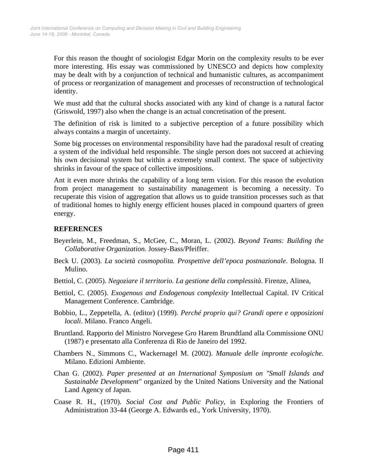For this reason the thought of sociologist Edgar Morin on the complexity results to be ever more interesting. His essay was commissioned by UNESCO and depicts how complexity may be dealt with by a conjunction of technical and humanistic cultures, as accompaniment of process or reorganization of management and processes of reconstruction of technological identity.

We must add that the cultural shocks associated with any kind of change is a natural factor (Griswold, 1997) also when the change is an actual concretisation of the present.

The definition of risk is limited to a subjective perception of a future possibility which always contains a margin of uncertainty.

Some big processes on environmental responsibility have had the paradoxal result of creating a system of the individual held responsible. The single person does not succeed at achieving his own decisional system but within a extremely small context. The space of subjectivity shrinks in favour of the space of collective impositions.

Ant it even more shrinks the capability of a long term vision. For this reason the evolution from project management to sustainability management is becoming a necessity. To recuperate this vision of aggregation that allows us to guide transition processes such as that of traditional homes to highly energy efficient houses placed in compound quarters of green energy.

#### **REFERENCES**

- Beyerlein, M., Freedman, S., McGee, C., Moran, L. (2002). *Beyond Teams: Building the Collaborative Organization.* Jossey-Bass/Pfeiffer.
- Beck U. (2003). *La società cosmopolita. Prospettive dell'epoca postnazionale*. Bologna. Il Mulino.
- Bettiol, C. (2005). *Negoziare il territorio. La gestione della complessità*. Firenze, Alinea,
- Bettiol, C. (2005). *Exogenous and Endogenous complexity* Intellectual Capital. IV Critical Management Conference. Cambridge.
- Bobbio, L., Zeppetella, A. (editor) (1999). *Perché proprio qui? Grandi opere e opposizioni locali*. Milano. Franco Angeli.
- Bruntland. Rapporto del Ministro Norvegese Gro Harem Brundtland alla Commissione ONU (1987) e presentato alla Conferenza di Rio de Janeiro del 1992.
- Chambers N., Simmons C., Wackernagel M. (2002). *Manuale delle impronte ecologiche*. Milano. Edizioni Ambiente.
- Chan G. (2002). *Paper presented at an International Symposium on "Small Islands and Sustainable Development"* organized by the United Nations University and the National Land Agency of Japan*.*
- Coase R. H., (1970). *Social Cost and Public Policy*, in Exploring the Frontiers of Administration 33-44 (George A. Edwards ed., York University, 1970).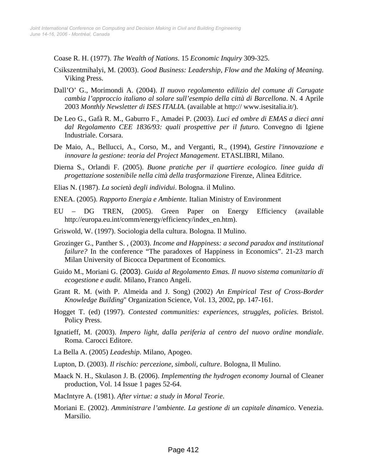Coase R. H. (1977). *The Wealth of Nations*. 15 *Economic Inquiry* 309-325.

- Csikszentmihalyi, M. (2003). *Good Business: Leadership, Flow and the Making of Meaning*. Viking Press.
- Dall'O' G., Morimondi A. (2004). *Il nuovo regolamento edilizio del comune di Carugate cambia l'approccio italiano al solare sull'esempio della città di Barcellona*. N. 4 Aprile 2003 *Monthly Newsletter di ISES ITALIA*. (available at http:// www.isesitalia.it/).
- De Leo G., Gafà R. M., Gaburro F., Amadei P. (2003). *Luci ed ombre di EMAS a dieci anni dal Regolamento CEE 1836/93: quali prospettive per il futuro.* Convegno di Igiene Industriale. Corsara.
- De Maio, A., Bellucci, A., Corso, M., and Verganti, R., (1994), *Gestire l'innovazione e innovare la gestione: teoria del Project Management*. ETASLIBRI, Milano.
- Dierna S., Orlandi F. (2005). *Buone pratiche per il quartiere ecologico. linee guida di progettazione sostenibile nella città della trasformazione* Firenze, Alinea Editrice.
- Elias N. (1987). *La società degli individui*. Bologna. il Mulino.
- ENEA. (2005)*. Rapporto Energia e Ambiente.* Italian Ministry of Environment
- EU DG TREN, (2005). Green Paper on Energy Efficiency (available http://europa.eu.int/comm/energy/efficiency/index\_en.htm).
- Griswold, W. (1997). Sociologia della cultura. Bologna. Il Mulino.
- Grozinger G., Panther S. , (2003). *Income and Happiness: a second paradox and institutional failure?* In the conference "The paradoxes of Happiness in Economics". 21-23 march Milan University of Bicocca Department of Economics.
- Guido M., Moriani G. (2003). *Guida al Regolamento Emas. Il nuovo sistema comunitario di ecogestione e audit.* Milano, Franco Angeli.
- Grant R. M. (with P. Almeida and J. Song) (2002) *An Empirical Test of Cross-Border Knowledge Building*" Organization Science, Vol. 13, 2002, pp. 147-161.
- Hogget T. (ed) (1997). *Contested communities: experiences, struggles, policies.* Bristol. Policy Press.
- Ignatieff, M. (2003). *Impero light, dalla periferia al centro del nuovo ordine mondiale*. Roma. Carocci Editore.
- La Bella A. (2005) *Leadeship*. Milano, Apogeo.
- Lupton, D. (2003). *Il rischio: percezione, simboli*, *culture*. Bologna, Il Mulino.
- Maack N. H., Skulason J. B. (2006). *Implementing the hydrogen economy* Journal of Cleaner production, Vol. 14 Issue 1 pages 52-64.
- MacIntyre A. (1981). *After virtue: a study in Moral Teorie*.
- Moriani E. (2002). *Amministrare l'ambiente. La gestione di un capitale dinamico*. Venezia. Marsilio.